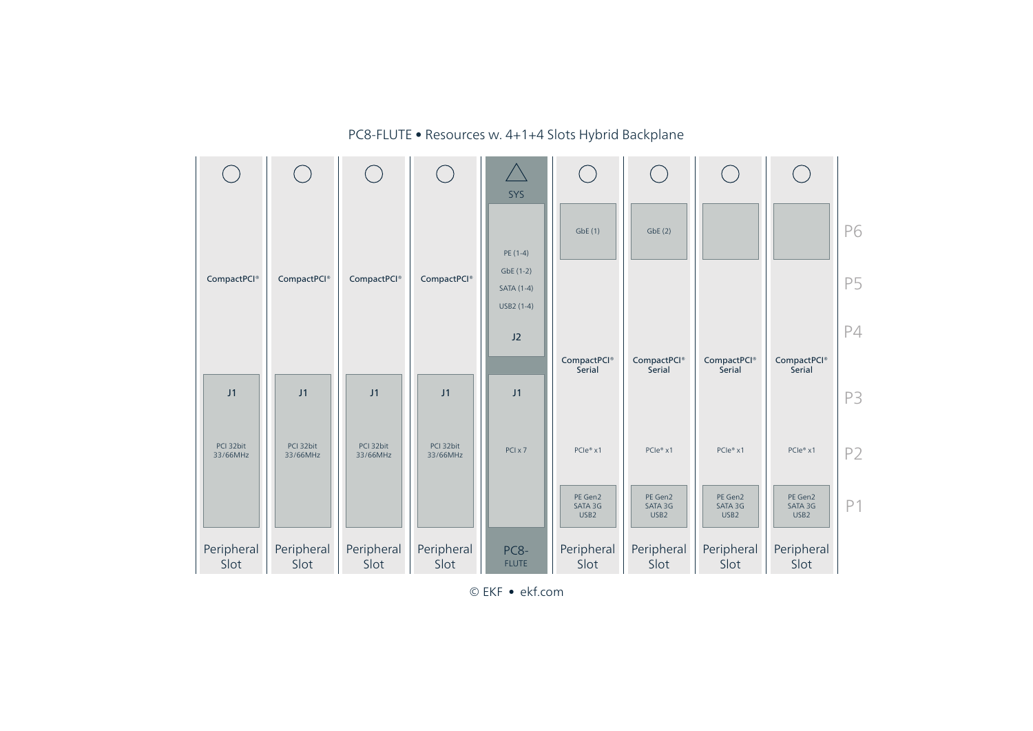

PC8-FLUTE • Resources w. 4+1+4 Slots Hybrid Backplane

© EKF • ekf.com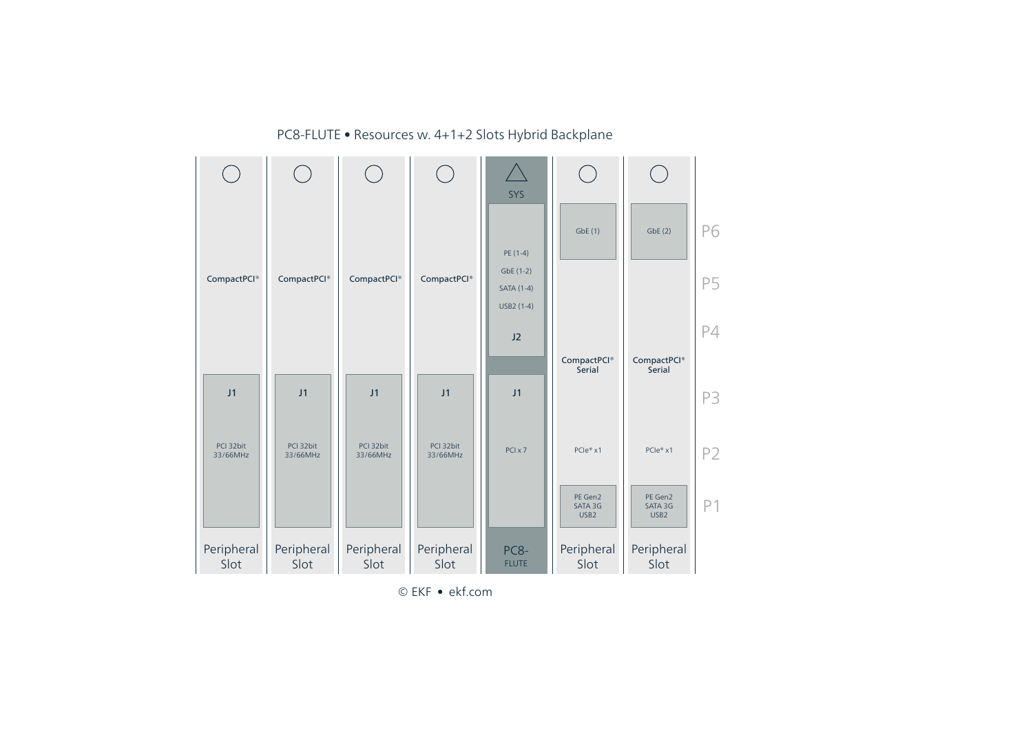

PC8-FLUTE • Resources w. 4+1+2 Slots Hybrid Backplane

© EKF • ekf.com